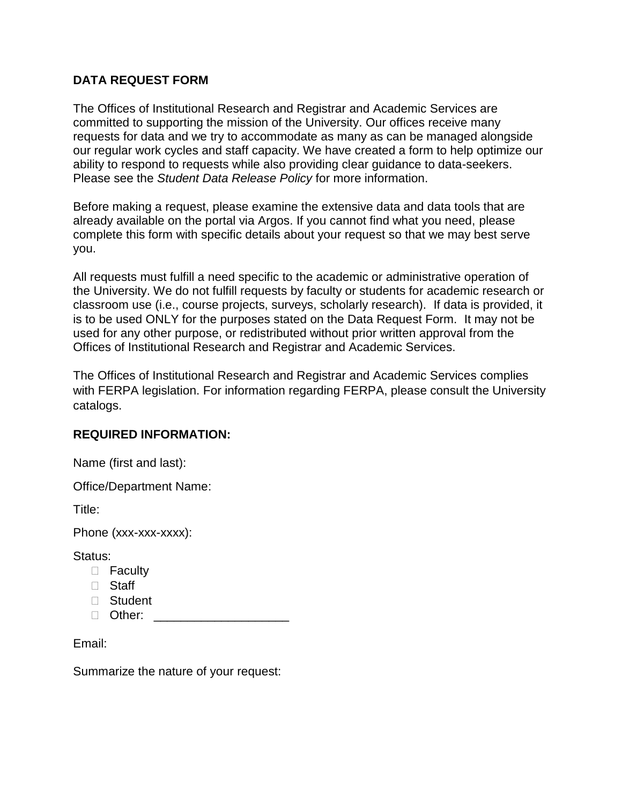## **DATA REQUEST FORM**

The Offices of Institutional Research and Registrar and Academic Services are committed to supporting the mission of the University. Our offices receive many requests for data and we try to accommodate as many as can be managed alongside our regular work cycles and staff capacity. We have created a form to help optimize our ability to respond to requests while also providing clear guidance to data-seekers. Please see the *Student Data Release Policy* for more information.

Before making a request, please examine the extensive data and data tools that are already available on the portal via Argos. If you cannot find what you need, please complete this form with specific details about your request so that we may best serve you.

All requests must fulfill a need specific to the academic or administrative operation of the University. We do not fulfill requests by faculty or students for academic research or classroom use (i.e., course projects, surveys, scholarly research). If data is provided, it is to be used ONLY for the purposes stated on the Data Request Form. It may not be used for any other purpose, or redistributed without prior written approval from the Offices of Institutional Research and Registrar and Academic Services.

The Offices of Institutional Research and Registrar and Academic Services complies with FERPA legislation. For information regarding FERPA, please consult the University catalogs.

## **REQUIRED INFORMATION:**

Name (first and last):

Office/Department Name:

Title:

Phone (xxx-xxx-xxxx):

Status:

- □ Faculty
- □ Staff
- Student
- Other: \_\_\_\_\_\_\_\_\_\_\_\_\_\_\_\_\_\_\_\_

Email:

Summarize the nature of your request: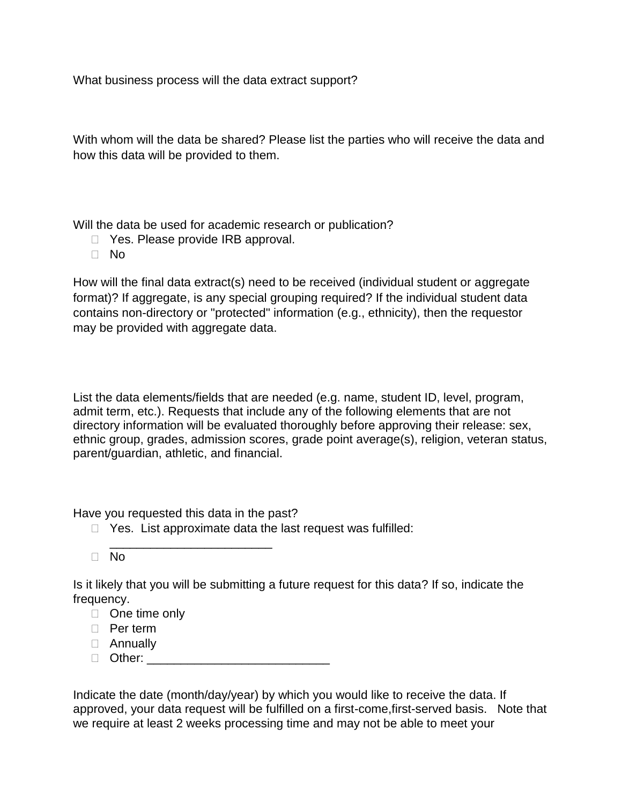What business process will the data extract support?

With whom will the data be shared? Please list the parties who will receive the data and how this data will be provided to them.

Will the data be used for academic research or publication?

- □ Yes. Please provide IRB approval.
- No

How will the final data extract(s) need to be received (individual student or aggregate format)? If aggregate, is any special grouping required? If the individual student data contains non-directory or "protected" information (e.g., ethnicity), then the requestor may be provided with aggregate data.

List the data elements/fields that are needed (e.g. name, student ID, level, program, admit term, etc.). Requests that include any of the following elements that are not directory information will be evaluated thoroughly before approving their release: sex, ethnic group, grades, admission scores, grade point average(s), religion, veteran status, parent/guardian, athletic, and financial.

Have you requested this data in the past?

\_\_\_\_\_\_\_\_\_\_\_\_\_\_\_\_\_\_\_\_\_\_\_\_

- $\Box$  Yes. List approximate data the last request was fulfilled:
- $\Box$  No

Is it likely that you will be submitting a future request for this data? If so, indicate the frequency.

- □ One time only
- D Per term
- Annually
- $\Box$  Other:

Indicate the date (month/day/year) by which you would like to receive the data. If approved, your data request will be fulfilled on a first-come,first-served basis. Note that we require at least 2 weeks processing time and may not be able to meet your